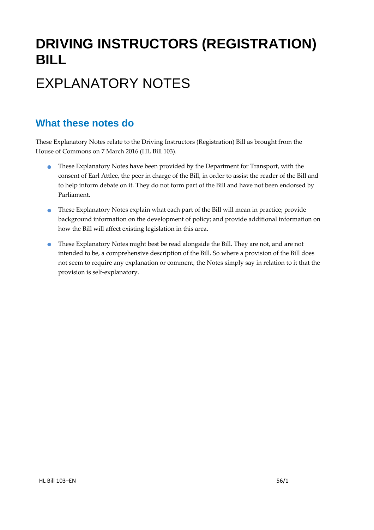# **DRIVING INSTRUCTORS (REGISTRATION) BILL**

## EXPLANATORY NOTES

#### **What these notes do**

- These Explanatory Notes have been provided by the Department for Transport, with the consent of Earl Attlee, the peer in charge of the Bill, in order to assist the reader of the Bill and to help inform debate on it. They do not form part of the Bill and have not been endorsed by Parliament.
- These Explanatory Notes explain what each part of the Bill will mean in practice; provide background information on the development of policy; and provide additional information on how the Bill will affect existing legislation in this area.
- **•** These Explanatory Notes might best be read alongside the Bill. They are not, and are not intended to be, a comprehensive description of the Bill. So where a provision of the Bill does not seem to require any explanation or comment, the Notes simply say in relation to it that the provision is self‐explanatory.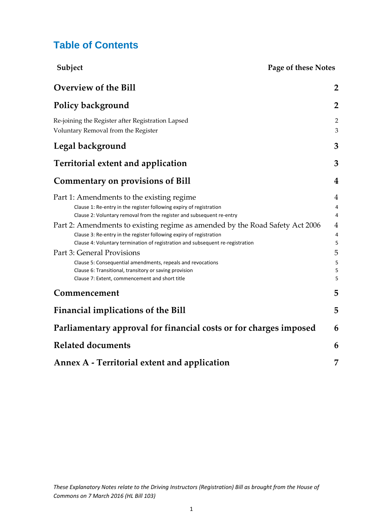#### **Table of Contents**

| Subject<br>Page of these Notes                                                                                                                                                                                                                                                                                                                                                                                                                                   |                                                                                  |
|------------------------------------------------------------------------------------------------------------------------------------------------------------------------------------------------------------------------------------------------------------------------------------------------------------------------------------------------------------------------------------------------------------------------------------------------------------------|----------------------------------------------------------------------------------|
| <b>Overview of the Bill</b>                                                                                                                                                                                                                                                                                                                                                                                                                                      | $\overline{2}$                                                                   |
| <b>Policy background</b>                                                                                                                                                                                                                                                                                                                                                                                                                                         | $\overline{2}$                                                                   |
| Re-joining the Register after Registration Lapsed<br>Voluntary Removal from the Register                                                                                                                                                                                                                                                                                                                                                                         | $\overline{2}$<br>3                                                              |
| <b>Legal background</b>                                                                                                                                                                                                                                                                                                                                                                                                                                          | 3                                                                                |
| <b>Territorial extent and application</b>                                                                                                                                                                                                                                                                                                                                                                                                                        | 3                                                                                |
| <b>Commentary on provisions of Bill</b>                                                                                                                                                                                                                                                                                                                                                                                                                          | 4                                                                                |
| Part 1: Amendments to the existing regime<br>Clause 1: Re-entry in the register following expiry of registration<br>Clause 2: Voluntary removal from the register and subsequent re-entry<br>Part 2: Amendments to existing regime as amended by the Road Safety Act 2006<br>Clause 3: Re-entry in the register following expiry of registration<br>Clause 4: Voluntary termination of registration and subsequent re-registration<br>Part 3: General Provisions | $\overline{4}$<br>4<br>4<br>$\overline{4}$<br>$\overline{\mathcal{L}}$<br>5<br>5 |
| Clause 5: Consequential amendments, repeals and revocations<br>Clause 6: Transitional, transitory or saving provision<br>Clause 7: Extent, commencement and short title                                                                                                                                                                                                                                                                                          | 5<br>5<br>5                                                                      |
| Commencement                                                                                                                                                                                                                                                                                                                                                                                                                                                     | 5                                                                                |
| <b>Financial implications of the Bill</b>                                                                                                                                                                                                                                                                                                                                                                                                                        | 5                                                                                |
| Parliamentary approval for financial costs or for charges imposed                                                                                                                                                                                                                                                                                                                                                                                                | 6                                                                                |
| <b>Related documents</b>                                                                                                                                                                                                                                                                                                                                                                                                                                         | 6                                                                                |
| Annex A - Territorial extent and application                                                                                                                                                                                                                                                                                                                                                                                                                     | 7                                                                                |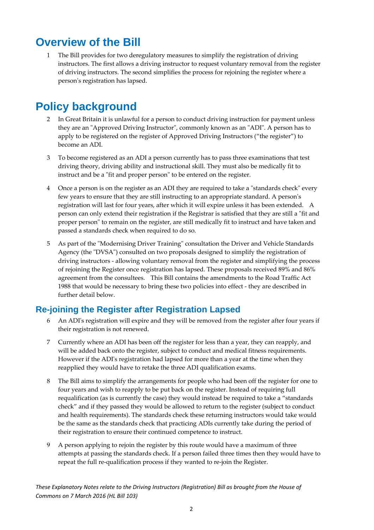### **Overview of the Bill**

1 The Bill provides for two deregulatory measures to simplify the registration of driving instructors. The first allows a driving instructor to request voluntary removal from the register of driving instructors. The second simplifies the process for rejoining the register where a personʹs registration has lapsed.

### **Policy background**

- 2 In Great Britain it is unlawful for a person to conduct driving instruction for payment unless they are an "Approved Driving Instructor", commonly known as an "ADI". A person has to apply to be registered on the register of Approved Driving Instructors ("the register") to become an ADI.
- 3 To become registered as an ADI a person currently has to pass three examinations that test driving theory, driving ability and instructional skill. They must also be medically fit to instruct and be a "fit and proper person" to be entered on the register.
- 4 Once a person is on the register as an ADI they are required to take a "standards check" every few years to ensure that they are still instructing to an appropriate standard. A person's registration will last for four years, after which it will expire unless it has been extended. A person can only extend their registration if the Registrar is satisfied that they are still a "fit and proper personʺ to remain on the register, are still medically fit to instruct and have taken and passed a standards check when required to do so.
- 5 As part of the "Modernising Driver Training" consultation the Driver and Vehicle Standards Agency (the "DVSA") consulted on two proposals designed to simplify the registration of driving instructors ‐ allowing voluntary removal from the register and simplifying the process of rejoining the Register once registration has lapsed. These proposals received 89% and 86% agreement from the consultees. This Bill contains the amendments to the Road Traffic Act 1988 that would be necessary to bring these two policies into effect ‐ they are described in further detail below.

#### **Re-joining the Register after Registration Lapsed**

- 6 An ADIʹs registration will expire and they will be removed from the register after four years if their registration is not renewed.
- 7 Currently where an ADI has been off the register for less than a year, they can reapply, and will be added back onto the register, subject to conduct and medical fitness requirements. However if the ADI's registration had lapsed for more than a year at the time when they reapplied they would have to retake the three ADI qualification exams.
- 8 The Bill aims to simplify the arrangements for people who had been off the register for one to four years and wish to reapply to be put back on the register. Instead of requiring full requalification (as is currently the case) they would instead be required to take a "standards check" and if they passed they would be allowed to return to the register (subject to conduct and health requirements). The standards check these returning instructors would take would be the same as the standards check that practicing ADIs currently take during the period of their registration to ensure their continued competence to instruct.
- 9 A person applying to rejoin the register by this route would have a maximum of three attempts at passing the standards check. If a person failed three times then they would have to repeat the full re‐qualification process if they wanted to re‐join the Register.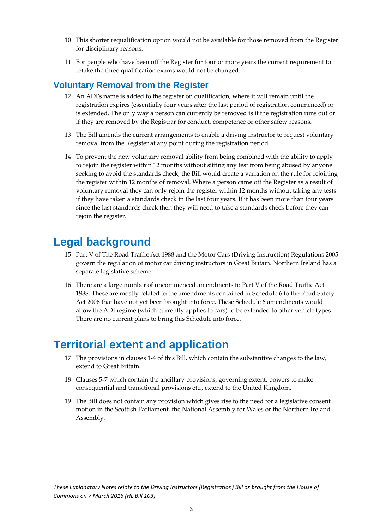- 10 This shorter requalification option would not be available for those removed from the Register for disciplinary reasons.
- 11 For people who have been off the Register for four or more years the current requirement to retake the three qualification exams would not be changed.

#### **Voluntary Removal from the Register**

- 12 An ADIʹs name is added to the register on qualification, where it will remain until the registration expires (essentially four years after the last period of registration commenced) or is extended. The only way a person can currently be removed is if the registration runs out or if they are removed by the Registrar for conduct, competence or other safety reasons.
- 13 The Bill amends the current arrangements to enable a driving instructor to request voluntary removal from the Register at any point during the registration period.
- 14 To prevent the new voluntary removal ability from being combined with the ability to apply to rejoin the register within 12 months without sitting any test from being abused by anyone seeking to avoid the standards check, the Bill would create a variation on the rule for rejoining the register within 12 months of removal. Where a person came off the Register as a result of voluntary removal they can only rejoin the register within 12 months without taking any tests if they have taken a standards check in the last four years. If it has been more than four years since the last standards check then they will need to take a standards check before they can rejoin the register.

### **Legal background**

- 15 Part V of The Road Traffic Act 1988 and the Motor Cars (Driving Instruction) Regulations 2005 govern the regulation of motor car driving instructors in Great Britain. Northern Ireland has a separate legislative scheme.
- 16 There are a large number of uncommenced amendments to Part V of the Road Traffic Act 1988. These are mostly related to the amendments contained in Schedule 6 to the Road Safety Act 2006 that have not yet been brought into force. These Schedule 6 amendments would allow the ADI regime (which currently applies to cars) to be extended to other vehicle types. There are no current plans to bring this Schedule into force.

### **Territorial extent and application**

- 17 The provisions in clauses 1-4 of this Bill, which contain the substantive changes to the law, extend to Great Britain.
- 18 Clauses 5-7 which contain the ancillary provisions, governing extent, powers to make consequential and transitional provisions etc., extend to the United Kingdom.
- 19 The Bill does not contain any provision which gives rise to the need for a legislative consent motion in the Scottish Parliament, the National Assembly for Wales or the Northern Ireland Assembly.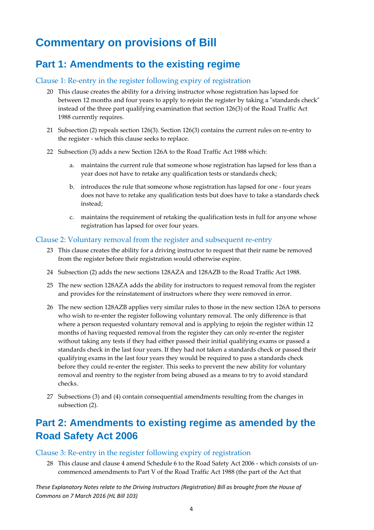### **Commentary on provisions of Bill**

### **Part 1: Amendments to the existing regime**

#### Clause 1: Re‐entry in the register following expiry of registration

- 20 This clause creates the ability for a driving instructor whose registration has lapsed for between 12 months and four years to apply to rejoin the register by taking a "standards check" instead of the three part qualifying examination that section 126(3) of the Road Traffic Act 1988 currently requires.
- 21 Subsection (2) repeals section 126(3). Section 126(3) contains the current rules on re‐entry to the register ‐ which this clause seeks to replace.
- 22 Subsection (3) adds a new Section 126A to the Road Traffic Act 1988 which:
	- a. maintains the current rule that someone whose registration has lapsed for less than a year does not have to retake any qualification tests or standards check;
	- b. introduces the rule that someone whose registration has lapsed for one ‐ four years does not have to retake any qualification tests but does have to take a standards check instead;
	- c. maintains the requirement of retaking the qualification tests in full for anyone whose registration has lapsed for over four years.

#### Clause 2: Voluntary removal from the register and subsequent re‐entry

- 23 This clause creates the ability for a driving instructor to request that their name be removed from the register before their registration would otherwise expire.
- 24 Subsection (2) adds the new sections 128AZA and 128AZB to the Road Traffic Act 1988.
- 25 The new section 128AZA adds the ability for instructors to request removal from the register and provides for the reinstatement of instructors where they were removed in error.
- 26 The new section 128AZB applies very similar rules to those in the new section 126A to persons who wish to re-enter the register following voluntary removal. The only difference is that where a person requested voluntary removal and is applying to rejoin the register within 12 months of having requested removal from the register they can only re-enter the register without taking any tests if they had either passed their initial qualifying exams or passed a standards check in the last four years. If they had not taken a standards check or passed their qualifying exams in the last four years they would be required to pass a standards check before they could re-enter the register. This seeks to prevent the new ability for voluntary removal and reentry to the register from being abused as a means to try to avoid standard checks.
- 27 Subsections (3) and (4) contain consequential amendments resulting from the changes in subsection (2).

### **Part 2: Amendments to existing regime as amended by the Road Safety Act 2006**

#### Clause 3: Re‐entry in the register following expiry of registration

28 This clause and clause 4 amend Schedule 6 to the Road Safety Act 2006 ‐ which consists of un‐ commenced amendments to Part V of the Road Traffic Act 1988 (the part of the Act that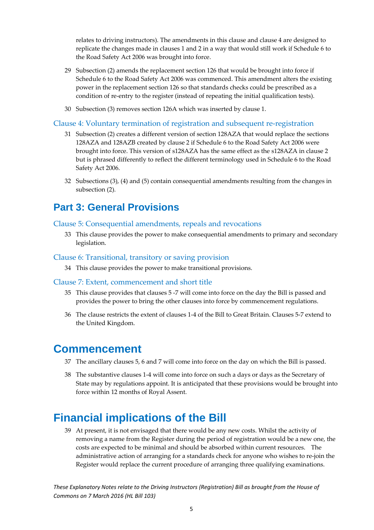relates to driving instructors). The amendments in this clause and clause 4 are designed to replicate the changes made in clauses 1 and 2 in a way that would still work if Schedule 6 to the Road Safety Act 2006 was brought into force.

- 29 Subsection (2) amends the replacement section 126 that would be brought into force if Schedule 6 to the Road Safety Act 2006 was commenced. This amendment alters the existing power in the replacement section 126 so that standards checks could be prescribed as a condition of re‐entry to the register (instead of repeating the initial qualification tests).
- 30 Subsection (3) removes section 126A which was inserted by clause 1.

#### Clause 4: Voluntary termination of registration and subsequent re‐registration

- 31 Subsection (2) creates a different version of section 128AZA that would replace the sections 128AZA and 128AZB created by clause 2 if Schedule 6 to the Road Safety Act 2006 were brought into force. This version of s128AZA has the same effect as the s128AZA in clause 2 but is phrased differently to reflect the different terminology used in Schedule 6 to the Road Safety Act 2006.
- 32 Subsections (3), (4) and (5) contain consequential amendments resulting from the changes in subsection (2).

#### **Part 3: General Provisions**

#### Clause 5: Consequential amendments, repeals and revocations

33 This clause provides the power to make consequential amendments to primary and secondary legislation.

#### Clause 6: Transitional, transitory or saving provision

34 This clause provides the power to make transitional provisions.

#### Clause 7: Extent, commencement and short title

- 35 This clause provides that clauses 5 ‐7 will come into force on the day the Bill is passed and provides the power to bring the other clauses into force by commencement regulations.
- 36 The clause restricts the extent of clauses 1‐4 of the Bill to Great Britain. Clauses 5‐7 extend to the United Kingdom.

#### **Commencement**

- 37 The ancillary clauses 5, 6 and 7 will come into force on the day on which the Bill is passed.
- 38 The substantive clauses 1‐4 will come into force on such a days or days as the Secretary of State may by regulations appoint. It is anticipated that these provisions would be brought into force within 12 months of Royal Assent.

### **Financial implications of the Bill**

39 At present, it is not envisaged that there would be any new costs. Whilst the activity of removing a name from the Register during the period of registration would be a new one, the costs are expected to be minimal and should be absorbed within current resources. The administrative action of arranging for a standards check for anyone who wishes to re‐join the Register would replace the current procedure of arranging three qualifying examinations.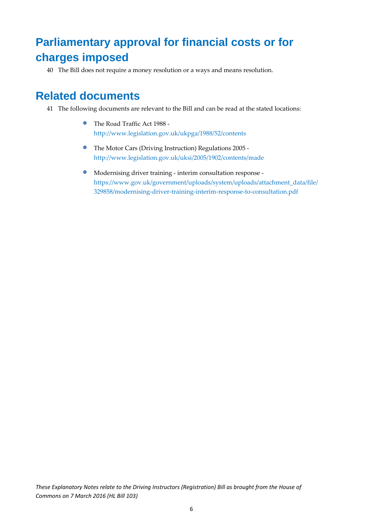### **Parliamentary approval for financial costs or for charges imposed**

40 The Bill does not require a money resolution or a ways and means resolution.

### **Related documents**

- 41 The following documents are relevant to the Bill and can be read at the stated locations:
	- The Road Traffic Act <sup>1988</sup> ‐ http://www.legislation.gov.uk/ukpga/1988/52/contents
	- The Motor Cars (Driving Instruction) Regulations <sup>2005</sup> ‐ http://www.legislation.gov.uk/uksi/2005/1902/contents/made
	- Modernising driver training ‐ interim consultation response ‐ https://www.gov.uk/government/uploads/system/uploads/attachment\_data/file/ 329858/modernising‐driver‐training‐interim‐response‐to‐consultation.pdf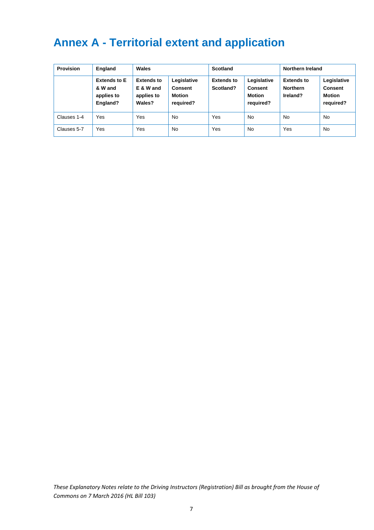### **Annex A - Territorial extent and application**

| <b>Provision</b> | England                                                  | Wales                                                  |                                                             | <b>Scotland</b>                |                                                             | Northern Ireland                                 |                                                             |
|------------------|----------------------------------------------------------|--------------------------------------------------------|-------------------------------------------------------------|--------------------------------|-------------------------------------------------------------|--------------------------------------------------|-------------------------------------------------------------|
|                  | <b>Extends to E</b><br>& W and<br>applies to<br>England? | <b>Extends to</b><br>E & W and<br>applies to<br>Wales? | Legislative<br><b>Consent</b><br><b>Motion</b><br>required? | <b>Extends to</b><br>Scotland? | Legislative<br><b>Consent</b><br><b>Motion</b><br>required? | <b>Extends to</b><br><b>Northern</b><br>Ireland? | Legislative<br><b>Consent</b><br><b>Motion</b><br>required? |
| Clauses 1-4      | Yes                                                      | Yes                                                    | <b>No</b>                                                   | Yes                            | <b>No</b>                                                   | <b>No</b>                                        | <b>No</b>                                                   |
| Clauses 5-7      | Yes                                                      | Yes                                                    | <b>No</b>                                                   | Yes                            | <b>No</b>                                                   | Yes                                              | <b>No</b>                                                   |